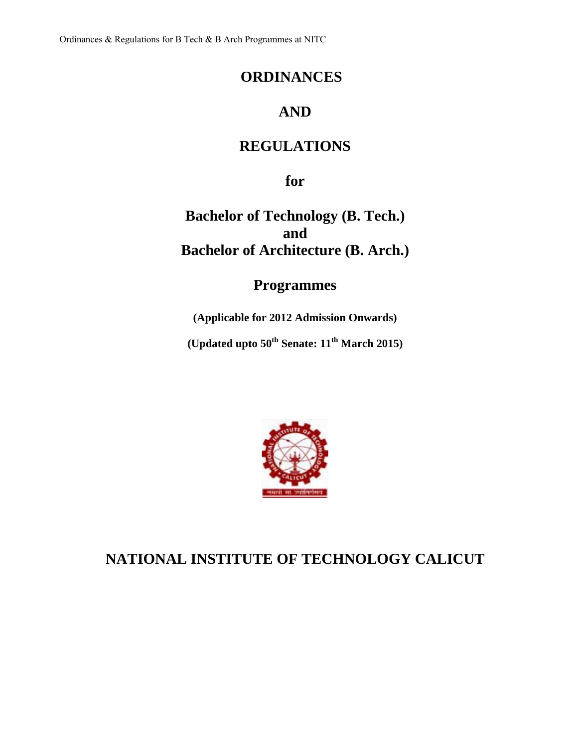## **ORDINANCES**

# **AND**

# **REGULATIONS**

**for** 

**Bachelor of Technology (B. Tech.) and Bachelor of Architecture (B. Arch.)** 

# **Programmes**

**(Applicable for 2012 Admission Onwards)** 

**(Updated upto 50th Senate: 11th March 2015)**



# **NATIONAL INSTITUTE OF TECHNOLOGY CALICUT**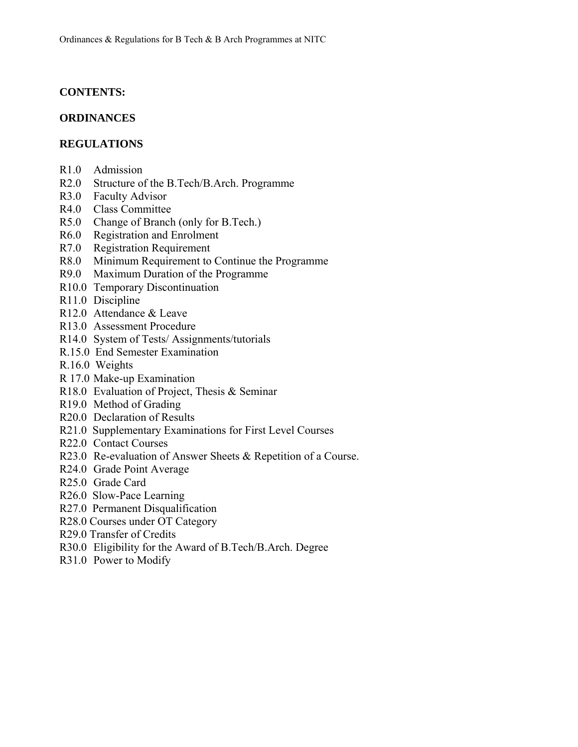## **CONTENTS:**

## **ORDINANCES**

## **REGULATIONS**

- R1.0 Admission
- R2.0 Structure of the B.Tech/B.Arch. Programme
- R3.0 Faculty Advisor
- R4.0 Class Committee
- R5.0 Change of Branch (only for B.Tech.)
- R6.0 Registration and Enrolment
- R7.0 Registration Requirement
- R8.0 Minimum Requirement to Continue the Programme
- R9.0 Maximum Duration of the Programme
- R10.0 Temporary Discontinuation
- R11.0 Discipline
- R12.0 Attendance & Leave
- R13.0 Assessment Procedure
- R14.0 System of Tests/ Assignments/tutorials
- R.15.0 End Semester Examination
- R.16.0 Weights
- R 17.0 Make-up Examination
- R18.0 Evaluation of Project, Thesis & Seminar
- R19.0 Method of Grading
- R20.0 Declaration of Results
- R21.0 Supplementary Examinations for First Level Courses
- R22.0 Contact Courses
- R23.0 Re-evaluation of Answer Sheets & Repetition of a Course.
- R24.0 Grade Point Average
- R25.0 Grade Card
- R26.0 Slow-Pace Learning
- R27.0 Permanent Disqualification
- R28.0 Courses under OT Category
- R29.0 Transfer of Credits
- R30.0 Eligibility for the Award of B.Tech/B.Arch. Degree
- R31.0 Power to Modify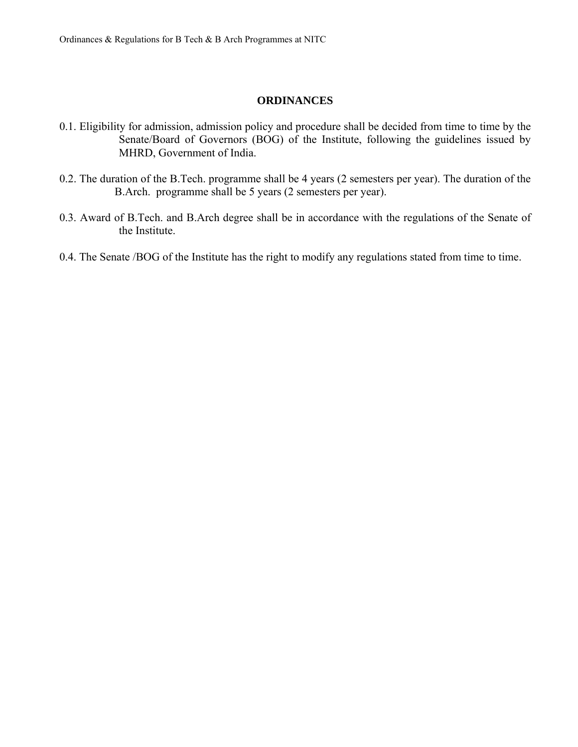#### **ORDINANCES**

- 0.1. Eligibility for admission, admission policy and procedure shall be decided from time to time by the Senate/Board of Governors (BOG) of the Institute, following the guidelines issued by MHRD, Government of India.
- 0.2. The duration of the B.Tech. programme shall be 4 years (2 semesters per year). The duration of the B.Arch. programme shall be 5 years (2 semesters per year).
- 0.3. Award of B.Tech. and B.Arch degree shall be in accordance with the regulations of the Senate of the Institute.
- 0.4. The Senate /BOG of the Institute has the right to modify any regulations stated from time to time.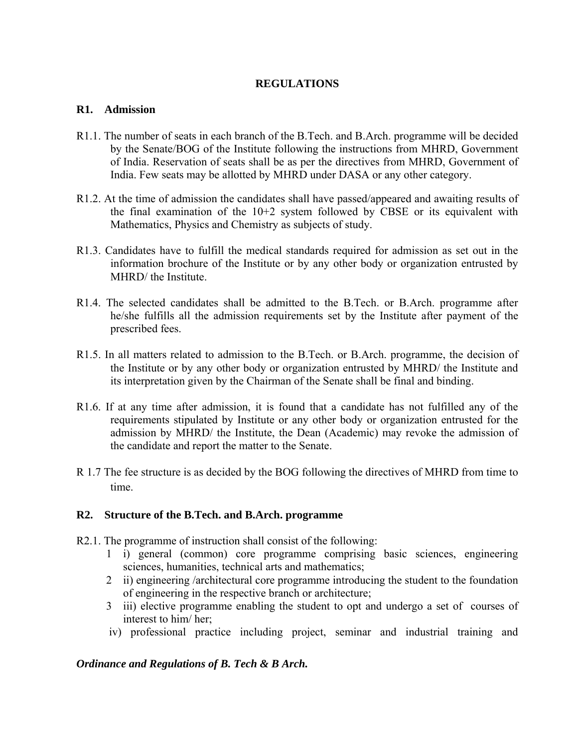## **REGULATIONS**

#### **R1. Admission**

- R1.1. The number of seats in each branch of the B.Tech. and B.Arch. programme will be decided by the Senate/BOG of the Institute following the instructions from MHRD, Government of India. Reservation of seats shall be as per the directives from MHRD, Government of India. Few seats may be allotted by MHRD under DASA or any other category.
- R1.2. At the time of admission the candidates shall have passed/appeared and awaiting results of the final examination of the 10+2 system followed by CBSE or its equivalent with Mathematics, Physics and Chemistry as subjects of study.
- R1.3. Candidates have to fulfill the medical standards required for admission as set out in the information brochure of the Institute or by any other body or organization entrusted by MHRD/ the Institute.
- R1.4. The selected candidates shall be admitted to the B.Tech. or B.Arch. programme after he/she fulfills all the admission requirements set by the Institute after payment of the prescribed fees.
- R1.5. In all matters related to admission to the B.Tech. or B.Arch. programme, the decision of the Institute or by any other body or organization entrusted by MHRD/ the Institute and its interpretation given by the Chairman of the Senate shall be final and binding.
- R1.6. If at any time after admission, it is found that a candidate has not fulfilled any of the requirements stipulated by Institute or any other body or organization entrusted for the admission by MHRD/ the Institute, the Dean (Academic) may revoke the admission of the candidate and report the matter to the Senate.
- R 1.7 The fee structure is as decided by the BOG following the directives of MHRD from time to time.

## **R2. Structure of the B.Tech. and B.Arch. programme**

- R2.1. The programme of instruction shall consist of the following:
	- 1 i) general (common) core programme comprising basic sciences, engineering sciences, humanities, technical arts and mathematics;
	- 2 ii) engineering /architectural core programme introducing the student to the foundation of engineering in the respective branch or architecture;
	- 3 iii) elective programme enabling the student to opt and undergo a set of courses of interest to him/ her;
	- iv) professional practice including project, seminar and industrial training and

## *Ordinance and Regulations of B. Tech & B Arch.*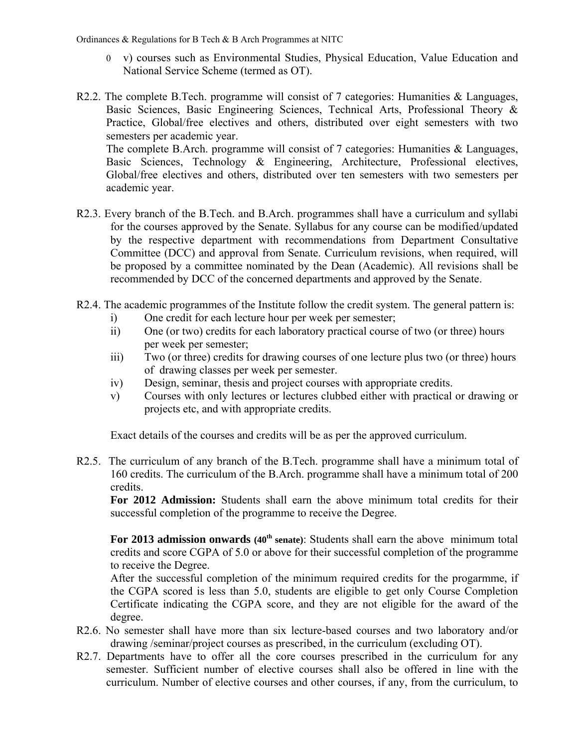- 0 v) courses such as Environmental Studies, Physical Education, Value Education and National Service Scheme (termed as OT).
- R2.2. The complete B.Tech. programme will consist of 7 categories: Humanities & Languages, Basic Sciences, Basic Engineering Sciences, Technical Arts, Professional Theory & Practice, Global/free electives and others, distributed over eight semesters with two semesters per academic year. The complete B.Arch. programme will consist of 7 categories: Humanities & Languages, Basic Sciences, Technology & Engineering, Architecture, Professional electives, Global/free electives and others, distributed over ten semesters with two semesters per academic year.
- R2.3. Every branch of the B.Tech. and B.Arch. programmes shall have a curriculum and syllabi for the courses approved by the Senate. Syllabus for any course can be modified/updated by the respective department with recommendations from Department Consultative Committee (DCC) and approval from Senate. Curriculum revisions, when required, will be proposed by a committee nominated by the Dean (Academic). All revisions shall be recommended by DCC of the concerned departments and approved by the Senate.
- R2.4. The academic programmes of the Institute follow the credit system. The general pattern is:
	- i) One credit for each lecture hour per week per semester;
	- ii) One (or two) credits for each laboratory practical course of two (or three) hours per week per semester;
	- iii) Two (or three) credits for drawing courses of one lecture plus two (or three) hours of drawing classes per week per semester.
	- iv) Design, seminar, thesis and project courses with appropriate credits.
	- v) Courses with only lectures or lectures clubbed either with practical or drawing or projects etc, and with appropriate credits.

Exact details of the courses and credits will be as per the approved curriculum.

R2.5. The curriculum of any branch of the B.Tech. programme shall have a minimum total of 160 credits. The curriculum of the B.Arch. programme shall have a minimum total of 200 credits.

 **For 2012 Admission:** Students shall earn the above minimum total credits for their successful completion of the programme to receive the Degree.

For 2013 admission onwards (40<sup>th</sup> senate): Students shall earn the above minimum total credits and score CGPA of 5.0 or above for their successful completion of the programme to receive the Degree.

 After the successful completion of the minimum required credits for the progarmme, if the CGPA scored is less than 5.0, students are eligible to get only Course Completion Certificate indicating the CGPA score, and they are not eligible for the award of the degree.

- R2.6. No semester shall have more than six lecture-based courses and two laboratory and/or drawing /seminar/project courses as prescribed, in the curriculum (excluding OT).
- R2.7. Departments have to offer all the core courses prescribed in the curriculum for any semester. Sufficient number of elective courses shall also be offered in line with the curriculum. Number of elective courses and other courses, if any, from the curriculum, to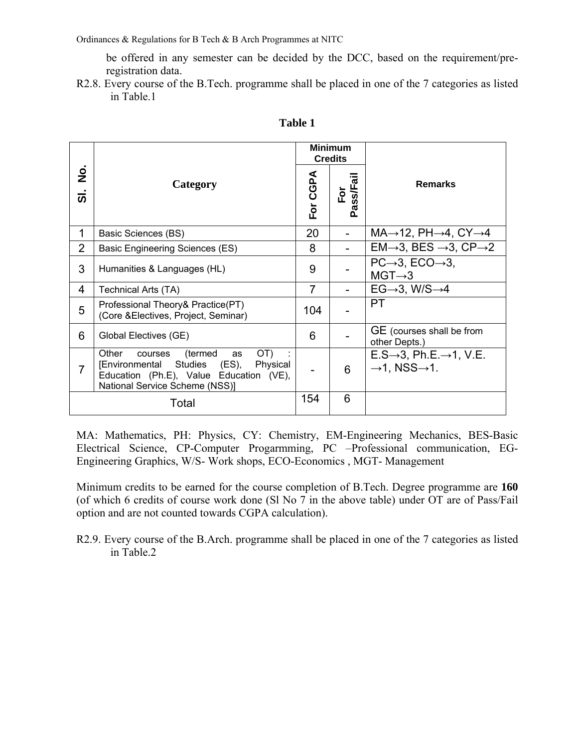be offered in any semester can be decided by the DCC, based on the requirement/preregistration data.

R2.8. Every course of the B.Tech. programme shall be placed in one of the 7 categories as listed in Table.1

|                           |                                                                                                                                                                   |                              | <b>Minimum</b><br><b>Credits</b>                 |                                                                                           |  |  |  |
|---------------------------|-------------------------------------------------------------------------------------------------------------------------------------------------------------------|------------------------------|--------------------------------------------------|-------------------------------------------------------------------------------------------|--|--|--|
| $\frac{1}{2}$<br><b>თ</b> | Category                                                                                                                                                          | For CGPA                     | <b>iss/Fail</b><br>$\mathsf{F} \mathsf{or}$<br>ã | <b>Remarks</b>                                                                            |  |  |  |
| 1                         | Basic Sciences (BS)                                                                                                                                               | 20                           | $\overline{\phantom{a}}$                         | $MA \rightarrow 12$ , PH $\rightarrow 4$ , CY $\rightarrow 4$                             |  |  |  |
| $\overline{2}$            | <b>Basic Engineering Sciences (ES)</b>                                                                                                                            | 8                            | ۰                                                | $EM \rightarrow 3$ , BES $\rightarrow 3$ , CP $\rightarrow 2$                             |  |  |  |
| 3                         | Humanities & Languages (HL)                                                                                                                                       | 9                            |                                                  | $PC\rightarrow 3$ , $ECO\rightarrow 3$ ,<br>$MGT\rightarrow 3$                            |  |  |  |
| 4                         | Technical Arts (TA)                                                                                                                                               | 7                            |                                                  | $EG\rightarrow 3$ , W/S $\rightarrow 4$                                                   |  |  |  |
| 5                         | Professional Theory& Practice(PT)<br>(Core & Electives, Project, Seminar)                                                                                         | 104                          |                                                  | PT                                                                                        |  |  |  |
| 6                         | Global Electives (GE)                                                                                                                                             | 6                            |                                                  | GE (courses shall be from<br>other Depts.)                                                |  |  |  |
| 7                         | OT)<br>(termed<br>Other<br>as<br>courses<br>[Environmental Studies (ES),<br>Physical<br>Education (Ph.E), Value Education (VE),<br>National Service Scheme (NSS)] | $\qquad \qquad \blacksquare$ | 6                                                | $E.S\rightarrow 3$ , Ph.E. $\rightarrow$ 1, V.E.<br>$\rightarrow$ 1, NSS $\rightarrow$ 1. |  |  |  |
|                           | Total                                                                                                                                                             | 154                          | 6                                                |                                                                                           |  |  |  |

#### **Table 1**

MA: Mathematics, PH: Physics, CY: Chemistry, EM-Engineering Mechanics, BES-Basic Electrical Science, CP-Computer Progarmming, PC –Professional communication, EG-Engineering Graphics, W/S- Work shops, ECO-Economics , MGT- Management

Minimum credits to be earned for the course completion of B.Tech. Degree programme are **160**  (of which 6 credits of course work done (Sl No 7 in the above table) under OT are of Pass/Fail option and are not counted towards CGPA calculation).

R2.9. Every course of the B.Arch. programme shall be placed in one of the 7 categories as listed in Table.2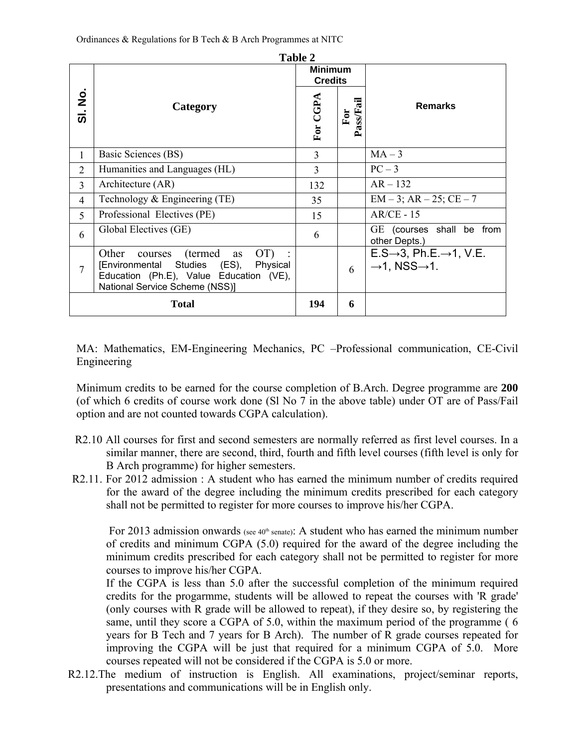|                                                |                                                                                                                                                                    | Table 2        |                  |                                                                                           |  |  |  |  |
|------------------------------------------------|--------------------------------------------------------------------------------------------------------------------------------------------------------------------|----------------|------------------|-------------------------------------------------------------------------------------------|--|--|--|--|
|                                                |                                                                                                                                                                    | <b>Minimum</b> |                  |                                                                                           |  |  |  |  |
|                                                |                                                                                                                                                                    | <b>Credits</b> |                  |                                                                                           |  |  |  |  |
| $\dot{\mathsf{z}}$<br>$\dot{\bar{\mathbf{v}}}$ | Category                                                                                                                                                           | For CGPA       | Pass/Fail<br>For | <b>Remarks</b>                                                                            |  |  |  |  |
| 1                                              | Basic Sciences (BS)                                                                                                                                                | $\overline{3}$ |                  | $MA-3$                                                                                    |  |  |  |  |
| $\overline{2}$                                 | Humanities and Languages (HL)                                                                                                                                      | 3              |                  | $PC-3$                                                                                    |  |  |  |  |
| 3                                              | Architecture (AR)                                                                                                                                                  | 132            |                  | $AR - 132$                                                                                |  |  |  |  |
| $\overline{4}$                                 | Technology $&$ Engineering (TE)                                                                                                                                    | 35             |                  | $EM-3$ ; $AR-25$ ; $CE-7$                                                                 |  |  |  |  |
| 5                                              | Professional Electives (PE)                                                                                                                                        | 15             |                  | $AR/CE - 15$                                                                              |  |  |  |  |
| 6                                              | Global Electives (GE)                                                                                                                                              | 6              |                  | GE (courses shall be from<br>other Depts.)                                                |  |  |  |  |
| 7                                              | Other<br>(termed)<br>OT)<br>as<br>courses<br>[Environmental Studies (ES),<br>Physical<br>Education (Ph.E), Value Education (VE),<br>National Service Scheme (NSS)] |                | 6                | $E.S\rightarrow 3$ , Ph.E. $\rightarrow$ 1, V.E.<br>$\rightarrow$ 1, NSS $\rightarrow$ 1. |  |  |  |  |
|                                                | Total                                                                                                                                                              | 194            | 6                |                                                                                           |  |  |  |  |

**Table 2**

MA: Mathematics, EM-Engineering Mechanics, PC –Professional communication, CE-Civil Engineering

Minimum credits to be earned for the course completion of B.Arch. Degree programme are **200**  (of which 6 credits of course work done (Sl No 7 in the above table) under OT are of Pass/Fail option and are not counted towards CGPA calculation).

- R2.10 All courses for first and second semesters are normally referred as first level courses. In a similar manner, there are second, third, fourth and fifth level courses (fifth level is only for B Arch programme) for higher semesters.
- R2.11. For 2012 admission : A student who has earned the minimum number of credits required for the award of the degree including the minimum credits prescribed for each category shall not be permitted to register for more courses to improve his/her CGPA.

For 2013 admission onwards (see 40<sup>th</sup> senate): A student who has earned the minimum number of credits and minimum CGPA (5.0) required for the award of the degree including the minimum credits prescribed for each category shall not be permitted to register for more courses to improve his/her CGPA.

 If the CGPA is less than 5.0 after the successful completion of the minimum required credits for the progarmme, students will be allowed to repeat the courses with 'R grade' (only courses with R grade will be allowed to repeat), if they desire so, by registering the same, until they score a CGPA of 5.0, within the maximum period of the programme ( 6 years for B Tech and 7 years for B Arch). The number of R grade courses repeated for improving the CGPA will be just that required for a minimum CGPA of 5.0. More courses repeated will not be considered if the CGPA is 5.0 or more.

R2.12.The medium of instruction is English. All examinations, project/seminar reports, presentations and communications will be in English only.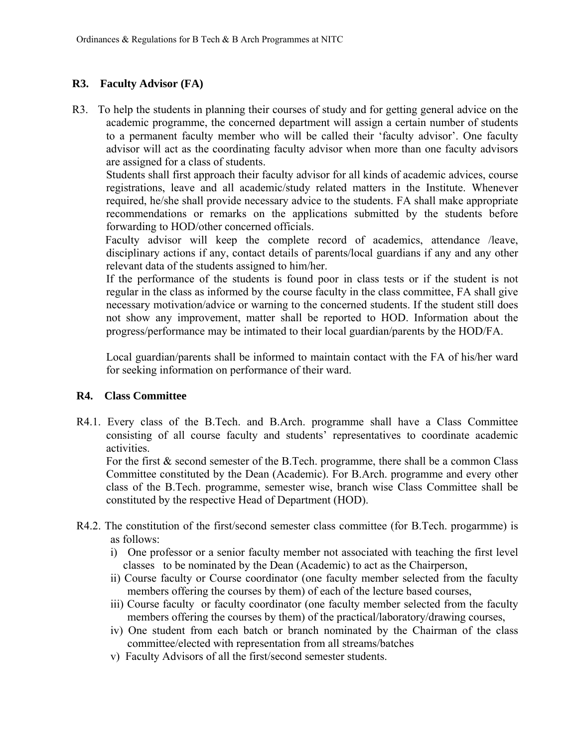## **R3. Faculty Advisor (FA)**

R3. To help the students in planning their courses of study and for getting general advice on the academic programme, the concerned department will assign a certain number of students to a permanent faculty member who will be called their 'faculty advisor'. One faculty advisor will act as the coordinating faculty advisor when more than one faculty advisors are assigned for a class of students.

Students shall first approach their faculty advisor for all kinds of academic advices, course registrations, leave and all academic/study related matters in the Institute. Whenever required, he/she shall provide necessary advice to the students. FA shall make appropriate recommendations or remarks on the applications submitted by the students before forwarding to HOD/other concerned officials.

 Faculty advisor will keep the complete record of academics, attendance /leave, disciplinary actions if any, contact details of parents/local guardians if any and any other relevant data of the students assigned to him/her.

If the performance of the students is found poor in class tests or if the student is not regular in the class as informed by the course faculty in the class committee, FA shall give necessary motivation/advice or warning to the concerned students. If the student still does not show any improvement, matter shall be reported to HOD. Information about the progress/performance may be intimated to their local guardian/parents by the HOD/FA.

Local guardian/parents shall be informed to maintain contact with the FA of his/her ward for seeking information on performance of their ward.

## **R4. Class Committee**

R4.1. Every class of the B.Tech. and B.Arch. programme shall have a Class Committee consisting of all course faculty and students' representatives to coordinate academic activities.

For the first & second semester of the B.Tech. programme, there shall be a common Class Committee constituted by the Dean (Academic). For B.Arch. programme and every other class of the B.Tech. programme, semester wise, branch wise Class Committee shall be constituted by the respective Head of Department (HOD).

- R4.2. The constitution of the first/second semester class committee (for B.Tech. progarmme) is as follows:
	- i) One professor or a senior faculty member not associated with teaching the first level classes to be nominated by the Dean (Academic) to act as the Chairperson,
	- ii) Course faculty or Course coordinator (one faculty member selected from the faculty members offering the courses by them) of each of the lecture based courses,
	- iii) Course faculty or faculty coordinator (one faculty member selected from the faculty members offering the courses by them) of the practical/laboratory/drawing courses,
	- iv) One student from each batch or branch nominated by the Chairman of the class committee/elected with representation from all streams/batches
	- v) Faculty Advisors of all the first/second semester students.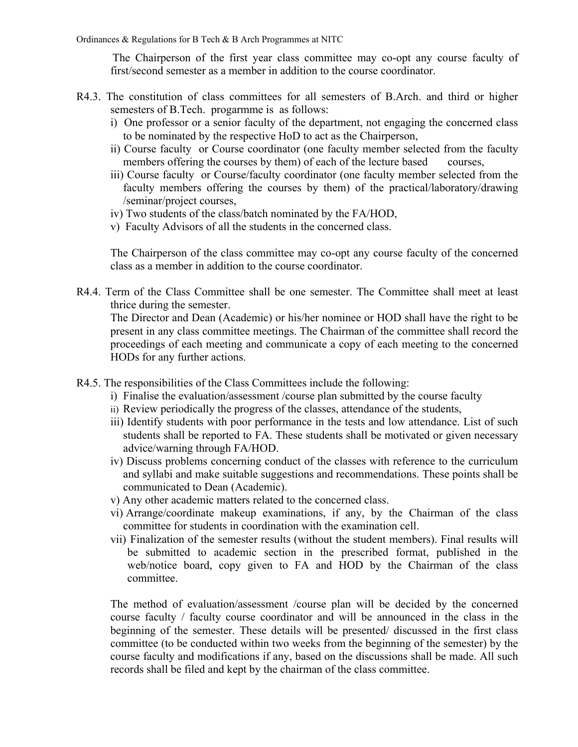The Chairperson of the first year class committee may co-opt any course faculty of first/second semester as a member in addition to the course coordinator.

- R4.3. The constitution of class committees for all semesters of B.Arch. and third or higher semesters of B.Tech. progarmme is as follows:
	- i) One professor or a senior faculty of the department, not engaging the concerned class to be nominated by the respective HoD to act as the Chairperson,
	- ii) Course faculty or Course coordinator (one faculty member selected from the faculty members offering the courses by them) of each of the lecture based courses,
	- iii) Course faculty or Course/faculty coordinator (one faculty member selected from the faculty members offering the courses by them) of the practical/laboratory/drawing /seminar/project courses,
	- iv) Two students of the class/batch nominated by the FA/HOD,
	- v) Faculty Advisors of all the students in the concerned class.

The Chairperson of the class committee may co-opt any course faculty of the concerned class as a member in addition to the course coordinator.

R4.4. Term of the Class Committee shall be one semester. The Committee shall meet at least thrice during the semester.

The Director and Dean (Academic) or his/her nominee or HOD shall have the right to be present in any class committee meetings. The Chairman of the committee shall record the proceedings of each meeting and communicate a copy of each meeting to the concerned HODs for any further actions.

- R4.5. The responsibilities of the Class Committees include the following:
	- i) Finalise the evaluation/assessment /course plan submitted by the course faculty
	- ii) Review periodically the progress of the classes, attendance of the students,
	- iii) Identify students with poor performance in the tests and low attendance. List of such students shall be reported to FA. These students shall be motivated or given necessary advice/warning through FA/HOD.
	- iv) Discuss problems concerning conduct of the classes with reference to the curriculum and syllabi and make suitable suggestions and recommendations. These points shall be communicated to Dean (Academic).
	- v) Any other academic matters related to the concerned class.
	- vi) Arrange/coordinate makeup examinations, if any, by the Chairman of the class committee for students in coordination with the examination cell.
	- vii) Finalization of the semester results (without the student members). Final results will be submitted to academic section in the prescribed format, published in the web/notice board, copy given to FA and HOD by the Chairman of the class committee.

The method of evaluation/assessment /course plan will be decided by the concerned course faculty / faculty course coordinator and will be announced in the class in the beginning of the semester. These details will be presented/ discussed in the first class committee (to be conducted within two weeks from the beginning of the semester) by the course faculty and modifications if any, based on the discussions shall be made. All such records shall be filed and kept by the chairman of the class committee.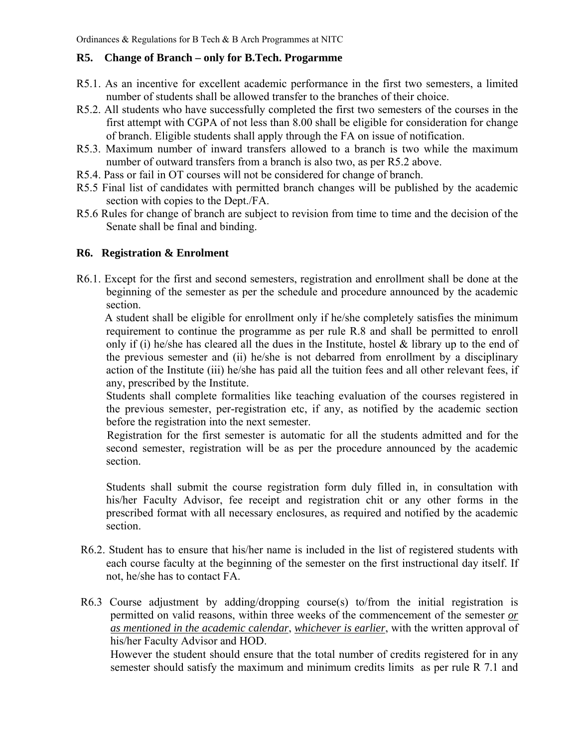## **R5. Change of Branch – only for B.Tech. Progarmme**

- R5.1. As an incentive for excellent academic performance in the first two semesters, a limited number of students shall be allowed transfer to the branches of their choice.
- R5.2. All students who have successfully completed the first two semesters of the courses in the first attempt with CGPA of not less than 8.00 shall be eligible for consideration for change of branch. Eligible students shall apply through the FA on issue of notification.
- R5.3. Maximum number of inward transfers allowed to a branch is two while the maximum number of outward transfers from a branch is also two, as per R5.2 above.
- R5.4. Pass or fail in OT courses will not be considered for change of branch.
- R5.5 Final list of candidates with permitted branch changes will be published by the academic section with copies to the Dept./FA.
- R5.6 Rules for change of branch are subject to revision from time to time and the decision of the Senate shall be final and binding.

## **R6. Registration & Enrolment**

R6.1. Except for the first and second semesters, registration and enrollment shall be done at the beginning of the semester as per the schedule and procedure announced by the academic section.

 A student shall be eligible for enrollment only if he/she completely satisfies the minimum requirement to continue the programme as per rule R.8 and shall be permitted to enroll only if (i) he/she has cleared all the dues in the Institute, hostel  $\&$  library up to the end of the previous semester and (ii) he/she is not debarred from enrollment by a disciplinary action of the Institute (iii) he/she has paid all the tuition fees and all other relevant fees, if any, prescribed by the Institute.

Students shall complete formalities like teaching evaluation of the courses registered in the previous semester, per-registration etc, if any, as notified by the academic section before the registration into the next semester.

Registration for the first semester is automatic for all the students admitted and for the second semester, registration will be as per the procedure announced by the academic section.

Students shall submit the course registration form duly filled in, in consultation with his/her Faculty Advisor, fee receipt and registration chit or any other forms in the prescribed format with all necessary enclosures, as required and notified by the academic section.

- R6.2. Student has to ensure that his/her name is included in the list of registered students with each course faculty at the beginning of the semester on the first instructional day itself. If not, he/she has to contact FA.
- R6.3 Course adjustment by adding/dropping course(s) to/from the initial registration is permitted on valid reasons, within three weeks of the commencement of the semester *or as mentioned in the academic calendar*, *whichever is earlier*, with the written approval of his/her Faculty Advisor and HOD.

 However the student should ensure that the total number of credits registered for in any semester should satisfy the maximum and minimum credits limits as per rule R 7.1 and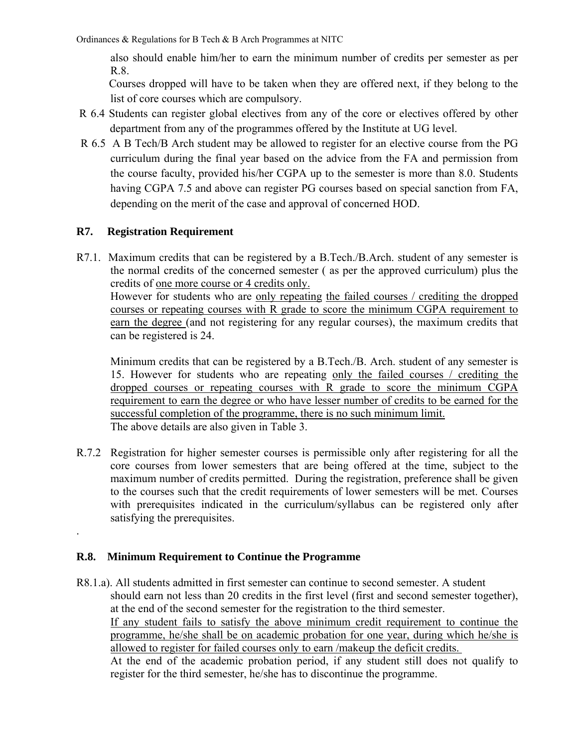also should enable him/her to earn the minimum number of credits per semester as per R.8.

 Courses dropped will have to be taken when they are offered next, if they belong to the list of core courses which are compulsory.

- R 6.4 Students can register global electives from any of the core or electives offered by other department from any of the programmes offered by the Institute at UG level.
- R 6.5 A B Tech/B Arch student may be allowed to register for an elective course from the PG curriculum during the final year based on the advice from the FA and permission from the course faculty, provided his/her CGPA up to the semester is more than 8.0. Students having CGPA 7.5 and above can register PG courses based on special sanction from FA, depending on the merit of the case and approval of concerned HOD.

## **R7. Registration Requirement**

.

R7.1. Maximum credits that can be registered by a B.Tech./B.Arch. student of any semester is the normal credits of the concerned semester ( as per the approved curriculum) plus the credits of one more course or 4 credits only.

However for students who are only repeating the failed courses / crediting the dropped courses or repeating courses with R grade to score the minimum CGPA requirement to earn the degree (and not registering for any regular courses), the maximum credits that can be registered is 24.

Minimum credits that can be registered by a B.Tech./B. Arch. student of any semester is 15. However for students who are repeating only the failed courses / crediting the dropped courses or repeating courses with R grade to score the minimum CGPA requirement to earn the degree or who have lesser number of credits to be earned for the successful completion of the programme, there is no such minimum limit. The above details are also given in Table 3.

R.7.2 Registration for higher semester courses is permissible only after registering for all the core courses from lower semesters that are being offered at the time, subject to the maximum number of credits permitted. During the registration, preference shall be given to the courses such that the credit requirements of lower semesters will be met. Courses with prerequisites indicated in the curriculum/syllabus can be registered only after satisfying the prerequisites.

## **R.8. Minimum Requirement to Continue the Programme**

R8.1.a). All students admitted in first semester can continue to second semester. A student should earn not less than 20 credits in the first level (first and second semester together), at the end of the second semester for the registration to the third semester. If any student fails to satisfy the above minimum credit requirement to continue the programme, he/she shall be on academic probation for one year, during which he/she is allowed to register for failed courses only to earn /makeup the deficit credits. At the end of the academic probation period, if any student still does not qualify to register for the third semester, he/she has to discontinue the programme.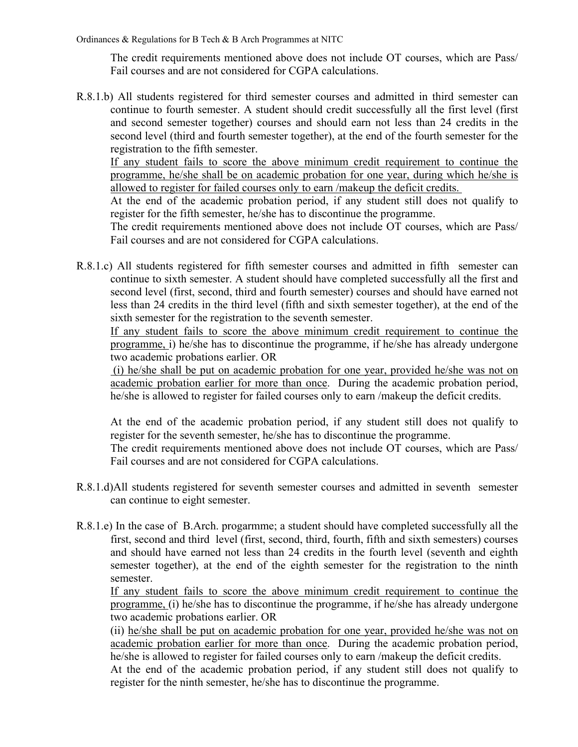The credit requirements mentioned above does not include OT courses, which are Pass/ Fail courses and are not considered for CGPA calculations.

R.8.1.b) All students registered for third semester courses and admitted in third semester can continue to fourth semester. A student should credit successfully all the first level (first and second semester together) courses and should earn not less than 24 credits in the second level (third and fourth semester together), at the end of the fourth semester for the registration to the fifth semester.

If any student fails to score the above minimum credit requirement to continue the programme, he/she shall be on academic probation for one year, during which he/she is allowed to register for failed courses only to earn /makeup the deficit credits.

At the end of the academic probation period, if any student still does not qualify to register for the fifth semester, he/she has to discontinue the programme.

The credit requirements mentioned above does not include OT courses, which are Pass/ Fail courses and are not considered for CGPA calculations.

R.8.1.c) All students registered for fifth semester courses and admitted in fifth semester can continue to sixth semester. A student should have completed successfully all the first and second level (first, second, third and fourth semester) courses and should have earned not less than 24 credits in the third level (fifth and sixth semester together), at the end of the sixth semester for the registration to the seventh semester.

If any student fails to score the above minimum credit requirement to continue the programme, i) he/she has to discontinue the programme, if he/she has already undergone two academic probations earlier. OR

 (i) he/she shall be put on academic probation for one year, provided he/she was not on academic probation earlier for more than once. During the academic probation period, he/she is allowed to register for failed courses only to earn /makeup the deficit credits.

At the end of the academic probation period, if any student still does not qualify to register for the seventh semester, he/she has to discontinue the programme.

The credit requirements mentioned above does not include OT courses, which are Pass/ Fail courses and are not considered for CGPA calculations.

- R.8.1.d)All students registered for seventh semester courses and admitted in seventh semester can continue to eight semester.
- R.8.1.e) In the case of B.Arch. progarmme; a student should have completed successfully all the first, second and third level (first, second, third, fourth, fifth and sixth semesters) courses and should have earned not less than 24 credits in the fourth level (seventh and eighth semester together), at the end of the eighth semester for the registration to the ninth semester.

If any student fails to score the above minimum credit requirement to continue the programme, (i) he/she has to discontinue the programme, if he/she has already undergone two academic probations earlier. OR

(ii) he/she shall be put on academic probation for one year, provided he/she was not on academic probation earlier for more than once. During the academic probation period, he/she is allowed to register for failed courses only to earn /makeup the deficit credits.

At the end of the academic probation period, if any student still does not qualify to register for the ninth semester, he/she has to discontinue the programme.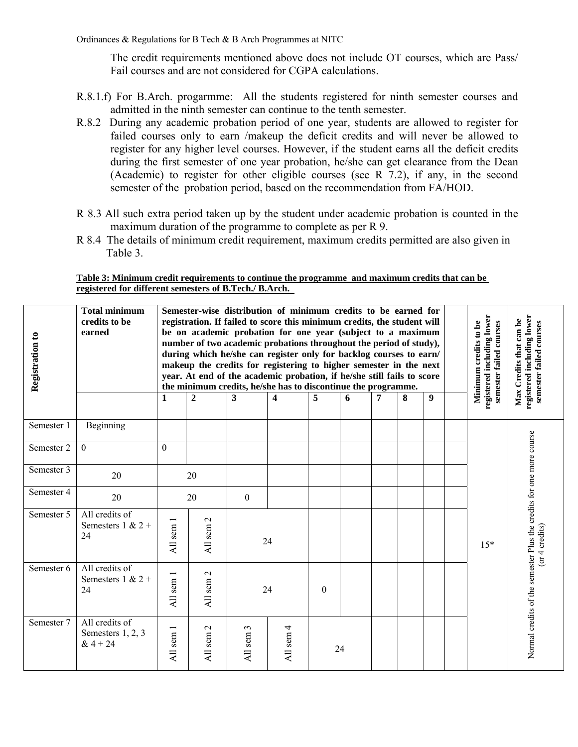The credit requirements mentioned above does not include OT courses, which are Pass/ Fail courses and are not considered for CGPA calculations.

- R.8.1.f) For B.Arch. progarmme: All the students registered for ninth semester courses and admitted in the ninth semester can continue to the tenth semester.
- R.8.2 During any academic probation period of one year, students are allowed to register for failed courses only to earn /makeup the deficit credits and will never be allowed to register for any higher level courses. However, if the student earns all the deficit credits during the first semester of one year probation, he/she can get clearance from the Dean (Academic) to register for other eligible courses (see R 7.2), if any, in the second semester of the probation period, based on the recommendation from FA/HOD.
- R 8.3 All such extra period taken up by the student under academic probation is counted in the maximum duration of the programme to complete as per R 9.
- R 8.4 The details of minimum credit requirement, maximum credits permitted are also given in Table 3.

#### **Table 3: Minimum credit requirements to continue the programme and maximum credits that can be registered for different semesters of B.Tech./ B.Arch.**

| Registration to | <b>Total minimum</b><br>credits to be<br>earned   | 1         | Semester-wise distribution of minimum credits to be earned for<br>registration. If failed to score this minimum credits, the student will<br>be on academic probation for one year (subject to a maximum<br>number of two academic probations throughout the period of study),<br>during which he/she can register only for backlog courses to earn/<br>makeup the credits for registering to higher semester in the next<br>year. At end of the academic probation, if he/she still fails to score<br>the minimum credits, he/she has to discontinue the programme.<br>9<br>3<br>7<br>$\mathbf{2}$<br>4<br>5<br>6<br>8 |                 |              |          |    |  |  | registered including lower<br>semester failed courses<br>Minimum credits to be | registered including lower<br>Max Credits that can be<br>semester failed courses |                                                                     |
|-----------------|---------------------------------------------------|-----------|-------------------------------------------------------------------------------------------------------------------------------------------------------------------------------------------------------------------------------------------------------------------------------------------------------------------------------------------------------------------------------------------------------------------------------------------------------------------------------------------------------------------------------------------------------------------------------------------------------------------------|-----------------|--------------|----------|----|--|--|--------------------------------------------------------------------------------|----------------------------------------------------------------------------------|---------------------------------------------------------------------|
| Semester 1      | Beginning                                         |           |                                                                                                                                                                                                                                                                                                                                                                                                                                                                                                                                                                                                                         |                 |              |          |    |  |  |                                                                                |                                                                                  |                                                                     |
| Semester 2      | $\Omega$                                          | $\Omega$  |                                                                                                                                                                                                                                                                                                                                                                                                                                                                                                                                                                                                                         |                 |              |          |    |  |  |                                                                                |                                                                                  |                                                                     |
| Semester 3      | 20                                                | 20        |                                                                                                                                                                                                                                                                                                                                                                                                                                                                                                                                                                                                                         |                 |              |          |    |  |  |                                                                                |                                                                                  |                                                                     |
| Semester 4      | 20                                                |           | 20                                                                                                                                                                                                                                                                                                                                                                                                                                                                                                                                                                                                                      | $\overline{0}$  |              |          |    |  |  |                                                                                |                                                                                  |                                                                     |
| Semester 5      | All credits of<br>Semesters $1 & 2 +$<br>24       | All sem   | $\mathbf 2$<br>All sem                                                                                                                                                                                                                                                                                                                                                                                                                                                                                                                                                                                                  |                 | 24           |          |    |  |  |                                                                                | $15*$                                                                            | $($ or 4 credits $)$                                                |
| Semester 6      | All credits of<br>Semesters $1 & 2 +$<br>24       | All sem 1 | $\mathbf{C}$<br>All sem                                                                                                                                                                                                                                                                                                                                                                                                                                                                                                                                                                                                 |                 | 24           | $\Omega$ |    |  |  |                                                                                |                                                                                  | Normal credits of the semester Plus the credits for one more course |
| Semester 7      | All credits of<br>Semesters 1, 2, 3<br>$& 4 + 24$ | All sem   | $\mathcal{L}$<br>All sem                                                                                                                                                                                                                                                                                                                                                                                                                                                                                                                                                                                                | 3<br>sem<br>All | 4<br>All sem |          | 24 |  |  |                                                                                |                                                                                  |                                                                     |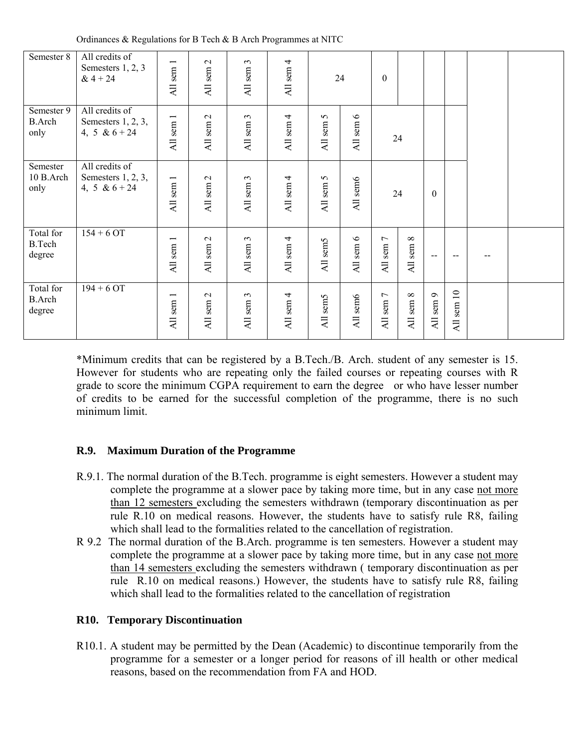Ordinances & Regulations for B Tech & B Arch Programmes at NITC

| Semester 8                           | All credits of<br>Semesters 1, 2, 3<br>$& 4 + 24$          | All sem 1                | All sem 2 | $\epsilon$<br>All sem | All sem 4 |                      | 24                 | $\boldsymbol{0}$               |                                             |                                     |            |  |
|--------------------------------------|------------------------------------------------------------|--------------------------|-----------|-----------------------|-----------|----------------------|--------------------|--------------------------------|---------------------------------------------|-------------------------------------|------------|--|
| Semester 9<br><b>B.Arch</b><br>only  | All credits of<br>Semesters $1, 2, 3$ ,<br>4, 5 & $6 + 24$ | All sem 1                | All sem 2 | All sem 3             | All sem 4 | $\sigma$<br>All sem: | $\circ$<br>All sem |                                | 24                                          |                                     |            |  |
| Semester<br>10 B.Arch<br>only        | All credits of<br>Semesters 1, 2, 3,<br>4, 5 & $6 + 24$    | sem 1<br>$\overline{AB}$ | All sem 2 | All sem 3             | All sem 4 | All sem 5            | All sem6           |                                | 24                                          | $\theta$                            |            |  |
| Total for<br><b>B.Tech</b><br>degree | $154 + 6$ OT                                               | All sem 1                | All sem 2 | All sem 3             | All sem 4 | All sem5             | All sem 6          | All sem 7                      | $\infty$<br>All sem 8                       |                                     |            |  |
| Total for<br><b>B.Arch</b><br>degree | $194 + 6$ OT                                               | sem 1<br><b>All</b>      | All sem 2 | All sem 3             | All sem 4 | All sem5             | All sem6           | $\rm sem$ 7<br>$\overline{AB}$ | $\infty$<br>sem<br>$\overline{\mathsf{AL}}$ | sem 9<br>$\overline{\mathsf{A}}$ ll | All sem 10 |  |

\*Minimum credits that can be registered by a B.Tech./B. Arch. student of any semester is 15. However for students who are repeating only the failed courses or repeating courses with R grade to score the minimum CGPA requirement to earn the degree or who have lesser number of credits to be earned for the successful completion of the programme, there is no such minimum limit.

## **R.9. Maximum Duration of the Programme**

- R.9.1. The normal duration of the B.Tech. programme is eight semesters. However a student may complete the programme at a slower pace by taking more time, but in any case not more than 12 semesters excluding the semesters withdrawn (temporary discontinuation as per rule R.10 on medical reasons. However, the students have to satisfy rule R8, failing which shall lead to the formalities related to the cancellation of registration.
- R 9.2 The normal duration of the B.Arch. programme is ten semesters. However a student may complete the programme at a slower pace by taking more time, but in any case not more than 14 semesters excluding the semesters withdrawn ( temporary discontinuation as per rule R.10 on medical reasons.) However, the students have to satisfy rule R8, failing which shall lead to the formalities related to the cancellation of registration

## **R10. Temporary Discontinuation**

R10.1. A student may be permitted by the Dean (Academic) to discontinue temporarily from the programme for a semester or a longer period for reasons of ill health or other medical reasons, based on the recommendation from FA and HOD.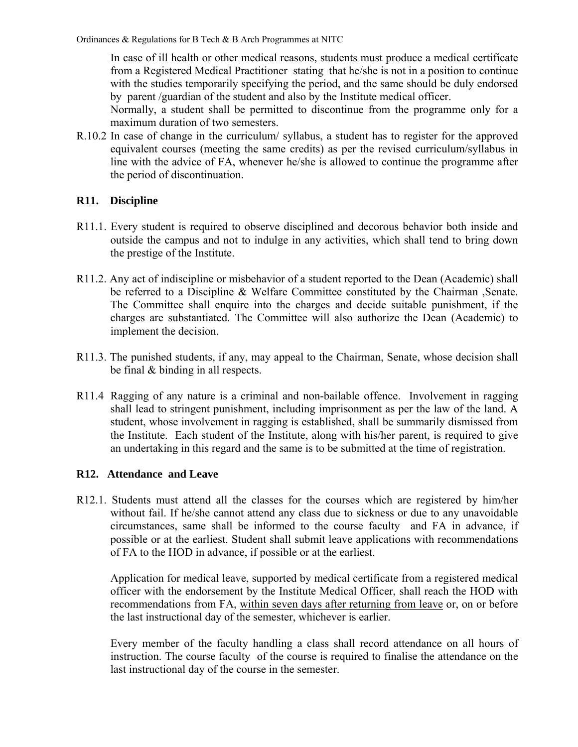In case of ill health or other medical reasons, students must produce a medical certificate from a Registered Medical Practitioner stating that he/she is not in a position to continue with the studies temporarily specifying the period, and the same should be duly endorsed by parent /guardian of the student and also by the Institute medical officer.

Normally, a student shall be permitted to discontinue from the programme only for a maximum duration of two semesters.

R.10.2 In case of change in the curriculum/ syllabus, a student has to register for the approved equivalent courses (meeting the same credits) as per the revised curriculum/syllabus in line with the advice of FA, whenever he/she is allowed to continue the programme after the period of discontinuation.

## **R11. Discipline**

- R11.1. Every student is required to observe disciplined and decorous behavior both inside and outside the campus and not to indulge in any activities, which shall tend to bring down the prestige of the Institute.
- R11.2. Any act of indiscipline or misbehavior of a student reported to the Dean (Academic) shall be referred to a Discipline & Welfare Committee constituted by the Chairman ,Senate. The Committee shall enquire into the charges and decide suitable punishment, if the charges are substantiated. The Committee will also authorize the Dean (Academic) to implement the decision.
- R11.3. The punished students, if any, may appeal to the Chairman, Senate, whose decision shall be final & binding in all respects.
- R11.4 Ragging of any nature is a criminal and non-bailable offence. Involvement in ragging shall lead to stringent punishment, including imprisonment as per the law of the land. A student, whose involvement in ragging is established, shall be summarily dismissed from the Institute. Each student of the Institute, along with his/her parent, is required to give an undertaking in this regard and the same is to be submitted at the time of registration.

## **R12. Attendance and Leave**

R12.1. Students must attend all the classes for the courses which are registered by him/her without fail. If he/she cannot attend any class due to sickness or due to any unavoidable circumstances, same shall be informed to the course faculty and FA in advance, if possible or at the earliest. Student shall submit leave applications with recommendations of FA to the HOD in advance, if possible or at the earliest.

Application for medical leave, supported by medical certificate from a registered medical officer with the endorsement by the Institute Medical Officer, shall reach the HOD with recommendations from FA, within seven days after returning from leave or, on or before the last instructional day of the semester, whichever is earlier.

Every member of the faculty handling a class shall record attendance on all hours of instruction. The course faculty of the course is required to finalise the attendance on the last instructional day of the course in the semester.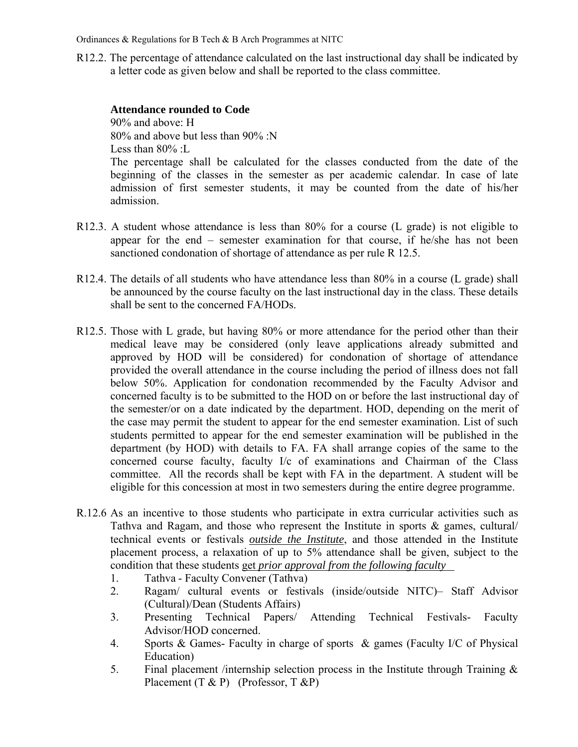R12.2. The percentage of attendance calculated on the last instructional day shall be indicated by a letter code as given below and shall be reported to the class committee.

#### **Attendance rounded to Code**

90% and above: H 80% and above but less than 90% :N Less than 80% :L The percentage shall be calculated for the classes conducted from the date of the beginning of the classes in the semester as per academic calendar. In case of late admission of first semester students, it may be counted from the date of his/her admission.

- R12.3. A student whose attendance is less than 80% for a course (L grade) is not eligible to appear for the end – semester examination for that course, if he/she has not been sanctioned condonation of shortage of attendance as per rule R 12.5.
- R12.4. The details of all students who have attendance less than 80% in a course (L grade) shall be announced by the course faculty on the last instructional day in the class. These details shall be sent to the concerned FA/HODs.
- R12.5. Those with L grade, but having 80% or more attendance for the period other than their medical leave may be considered (only leave applications already submitted and approved by HOD will be considered) for condonation of shortage of attendance provided the overall attendance in the course including the period of illness does not fall below 50%. Application for condonation recommended by the Faculty Advisor and concerned faculty is to be submitted to the HOD on or before the last instructional day of the semester/or on a date indicated by the department. HOD, depending on the merit of the case may permit the student to appear for the end semester examination. List of such students permitted to appear for the end semester examination will be published in the department (by HOD) with details to FA. FA shall arrange copies of the same to the concerned course faculty, faculty I/c of examinations and Chairman of the Class committee. All the records shall be kept with FA in the department. A student will be eligible for this concession at most in two semesters during the entire degree programme.
- R.12.6 As an incentive to those students who participate in extra curricular activities such as Tathva and Ragam, and those who represent the Institute in sports  $\&$  games, cultural technical events or festivals *outside the Institute*, and those attended in the Institute placement process, a relaxation of up to 5% attendance shall be given, subject to the condition that these students get *prior approval from the following faculty* 
	- 1. Tathva Faculty Convener (Tathva)
	- 2. Ragam/ cultural events or festivals (inside/outside NITC)– Staff Advisor (Cultural)/Dean (Students Affairs)
	- 3. Presenting Technical Papers/ Attending Technical Festivals- Faculty Advisor/HOD concerned.
	- 4. Sports & Games- Faculty in charge of sports & games (Faculty I/C of Physical Education)
	- 5. Final placement /internship selection process in the Institute through Training & Placement  $(T \& P)$  (Professor, T  $\& P$ )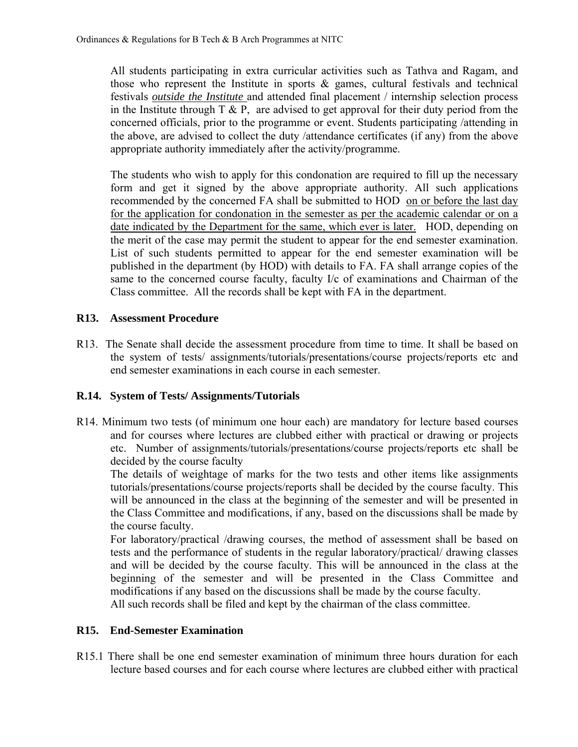All students participating in extra curricular activities such as Tathva and Ragam, and those who represent the Institute in sports & games, cultural festivals and technical festivals *outside the Institute* and attended final placement / internship selection process in the Institute through  $T \& P$ , are advised to get approval for their duty period from the concerned officials, prior to the programme or event. Students participating /attending in the above, are advised to collect the duty /attendance certificates (if any) from the above appropriate authority immediately after the activity/programme.

The students who wish to apply for this condonation are required to fill up the necessary form and get it signed by the above appropriate authority. All such applications recommended by the concerned FA shall be submitted to HOD on or before the last day for the application for condonation in the semester as per the academic calendar or on a date indicated by the Department for the same, which ever is later. HOD, depending on the merit of the case may permit the student to appear for the end semester examination. List of such students permitted to appear for the end semester examination will be published in the department (by HOD) with details to FA. FA shall arrange copies of the same to the concerned course faculty, faculty I/c of examinations and Chairman of the Class committee. All the records shall be kept with FA in the department.

## **R13. Assessment Procedure**

R13. The Senate shall decide the assessment procedure from time to time. It shall be based on the system of tests/ assignments/tutorials/presentations/course projects/reports etc and end semester examinations in each course in each semester.

## **R.14. System of Tests/ Assignments/Tutorials**

R14. Minimum two tests (of minimum one hour each) are mandatory for lecture based courses and for courses where lectures are clubbed either with practical or drawing or projects etc. Number of assignments/tutorials/presentations/course projects/reports etc shall be decided by the course faculty

The details of weightage of marks for the two tests and other items like assignments tutorials/presentations/course projects/reports shall be decided by the course faculty. This will be announced in the class at the beginning of the semester and will be presented in the Class Committee and modifications, if any, based on the discussions shall be made by the course faculty.

For laboratory/practical /drawing courses, the method of assessment shall be based on tests and the performance of students in the regular laboratory/practical/ drawing classes and will be decided by the course faculty. This will be announced in the class at the beginning of the semester and will be presented in the Class Committee and modifications if any based on the discussions shall be made by the course faculty. All such records shall be filed and kept by the chairman of the class committee.

## **R15. End-Semester Examination**

R15.1 There shall be one end semester examination of minimum three hours duration for each lecture based courses and for each course where lectures are clubbed either with practical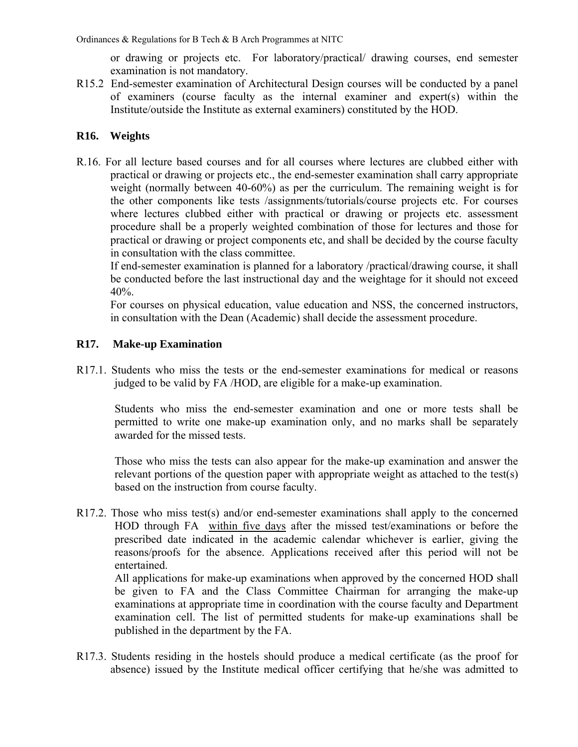or drawing or projects etc. For laboratory/practical/ drawing courses, end semester examination is not mandatory.

R15.2 End-semester examination of Architectural Design courses will be conducted by a panel of examiners (course faculty as the internal examiner and expert(s) within the Institute/outside the Institute as external examiners) constituted by the HOD.

## **R16. Weights**

R.16. For all lecture based courses and for all courses where lectures are clubbed either with practical or drawing or projects etc., the end-semester examination shall carry appropriate weight (normally between 40-60%) as per the curriculum. The remaining weight is for the other components like tests /assignments/tutorials/course projects etc. For courses where lectures clubbed either with practical or drawing or projects etc. assessment procedure shall be a properly weighted combination of those for lectures and those for practical or drawing or project components etc, and shall be decided by the course faculty in consultation with the class committee.

If end-semester examination is planned for a laboratory /practical/drawing course, it shall be conducted before the last instructional day and the weightage for it should not exceed 40%.

For courses on physical education, value education and NSS, the concerned instructors, in consultation with the Dean (Academic) shall decide the assessment procedure.

## **R17. Make-up Examination**

R17.1. Students who miss the tests or the end-semester examinations for medical or reasons judged to be valid by FA /HOD, are eligible for a make-up examination.

Students who miss the end-semester examination and one or more tests shall be permitted to write one make-up examination only, and no marks shall be separately awarded for the missed tests.

Those who miss the tests can also appear for the make-up examination and answer the relevant portions of the question paper with appropriate weight as attached to the test(s) based on the instruction from course faculty.

R17.2. Those who miss test(s) and/or end-semester examinations shall apply to the concerned HOD through FA within five days after the missed test/examinations or before the prescribed date indicated in the academic calendar whichever is earlier, giving the reasons/proofs for the absence. Applications received after this period will not be entertained.

 All applications for make-up examinations when approved by the concerned HOD shall be given to FA and the Class Committee Chairman for arranging the make-up examinations at appropriate time in coordination with the course faculty and Department examination cell. The list of permitted students for make-up examinations shall be published in the department by the FA.

R17.3. Students residing in the hostels should produce a medical certificate (as the proof for absence) issued by the Institute medical officer certifying that he/she was admitted to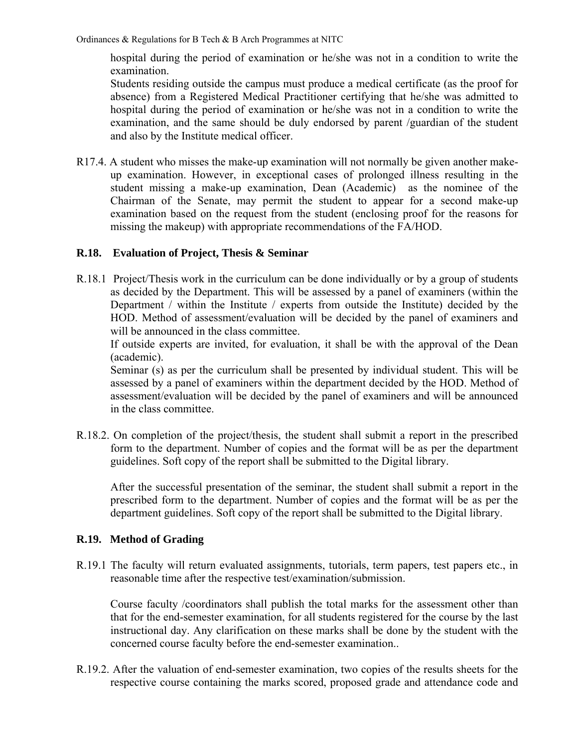hospital during the period of examination or he/she was not in a condition to write the examination.

Students residing outside the campus must produce a medical certificate (as the proof for absence) from a Registered Medical Practitioner certifying that he/she was admitted to hospital during the period of examination or he/she was not in a condition to write the examination, and the same should be duly endorsed by parent /guardian of the student and also by the Institute medical officer.

R17.4. A student who misses the make-up examination will not normally be given another makeup examination. However, in exceptional cases of prolonged illness resulting in the student missing a make-up examination, Dean (Academic) as the nominee of the Chairman of the Senate, may permit the student to appear for a second make-up examination based on the request from the student (enclosing proof for the reasons for missing the makeup) with appropriate recommendations of the FA/HOD.

## **R.18. Evaluation of Project, Thesis & Seminar**

R.18.1 Project/Thesis work in the curriculum can be done individually or by a group of students as decided by the Department. This will be assessed by a panel of examiners (within the Department / within the Institute / experts from outside the Institute) decided by the HOD. Method of assessment/evaluation will be decided by the panel of examiners and will be announced in the class committee.

If outside experts are invited, for evaluation, it shall be with the approval of the Dean (academic).

Seminar (s) as per the curriculum shall be presented by individual student. This will be assessed by a panel of examiners within the department decided by the HOD. Method of assessment/evaluation will be decided by the panel of examiners and will be announced in the class committee.

R.18.2. On completion of the project/thesis, the student shall submit a report in the prescribed form to the department. Number of copies and the format will be as per the department guidelines. Soft copy of the report shall be submitted to the Digital library.

After the successful presentation of the seminar, the student shall submit a report in the prescribed form to the department. Number of copies and the format will be as per the department guidelines. Soft copy of the report shall be submitted to the Digital library.

## **R.19. Method of Grading**

R.19.1 The faculty will return evaluated assignments, tutorials, term papers, test papers etc., in reasonable time after the respective test/examination/submission.

Course faculty /coordinators shall publish the total marks for the assessment other than that for the end-semester examination, for all students registered for the course by the last instructional day. Any clarification on these marks shall be done by the student with the concerned course faculty before the end-semester examination..

R.19.2. After the valuation of end-semester examination, two copies of the results sheets for the respective course containing the marks scored, proposed grade and attendance code and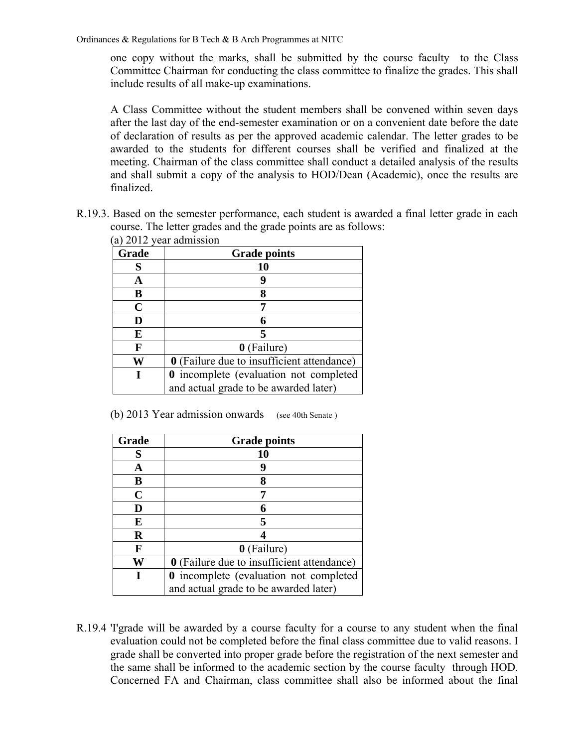one copy without the marks, shall be submitted by the course faculty to the Class Committee Chairman for conducting the class committee to finalize the grades. This shall include results of all make-up examinations.

A Class Committee without the student members shall be convened within seven days after the last day of the end-semester examination or on a convenient date before the date of declaration of results as per the approved academic calendar. The letter grades to be awarded to the students for different courses shall be verified and finalized at the meeting. Chairman of the class committee shall conduct a detailed analysis of the results and shall submit a copy of the analysis to HOD/Dean (Academic), once the results are finalized.

R.19.3. Based on the semester performance, each student is awarded a final letter grade in each course. The letter grades and the grade points are as follows: (a) 2012 year admission

| a) 2012 year adiilissiyii |                                                   |  |  |  |  |  |  |  |
|---------------------------|---------------------------------------------------|--|--|--|--|--|--|--|
| Grade                     | <b>Grade points</b>                               |  |  |  |  |  |  |  |
| S                         | 10                                                |  |  |  |  |  |  |  |
| A                         |                                                   |  |  |  |  |  |  |  |
| В                         |                                                   |  |  |  |  |  |  |  |
| $\mathbf C$               |                                                   |  |  |  |  |  |  |  |
| D                         |                                                   |  |  |  |  |  |  |  |
| E                         |                                                   |  |  |  |  |  |  |  |
| F                         | 0 (Failure)                                       |  |  |  |  |  |  |  |
| W                         | <b>0</b> (Failure due to insufficient attendance) |  |  |  |  |  |  |  |
|                           | 0 incomplete (evaluation not completed            |  |  |  |  |  |  |  |
|                           | and actual grade to be awarded later)             |  |  |  |  |  |  |  |

(b) 2013 Year admission onwards (see 40th Senate )

| Grade       | <b>Grade points</b>                               |
|-------------|---------------------------------------------------|
| S           | 10                                                |
| A           |                                                   |
| B           |                                                   |
| $\mathbf C$ |                                                   |
| D           |                                                   |
| E           |                                                   |
| $\mathbf R$ |                                                   |
| F           | 0 (Failure)                                       |
| W           | <b>0</b> (Failure due to insufficient attendance) |
|             | 0 incomplete (evaluation not completed            |
|             | and actual grade to be awarded later)             |

R.19.4 'I'grade will be awarded by a course faculty for a course to any student when the final evaluation could not be completed before the final class committee due to valid reasons. I grade shall be converted into proper grade before the registration of the next semester and the same shall be informed to the academic section by the course faculty through HOD. Concerned FA and Chairman, class committee shall also be informed about the final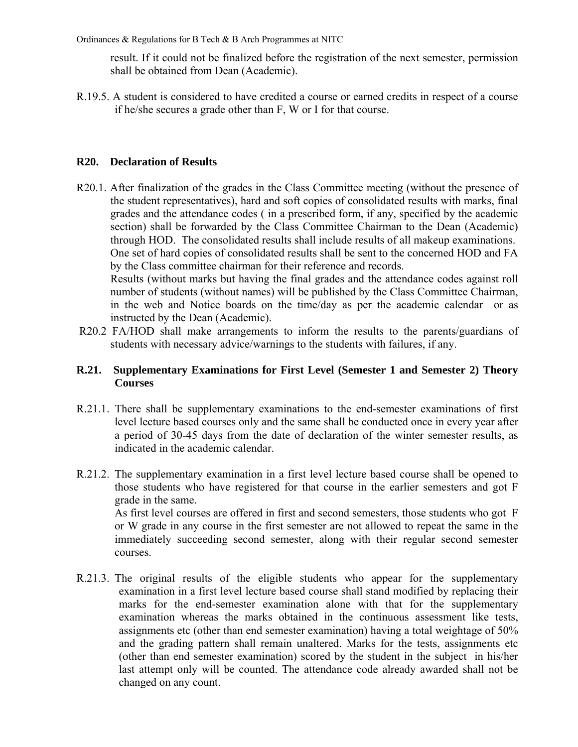result. If it could not be finalized before the registration of the next semester, permission shall be obtained from Dean (Academic).

R.19.5. A student is considered to have credited a course or earned credits in respect of a course if he/she secures a grade other than F, W or I for that course.

#### **R20. Declaration of Results**

- R20.1. After finalization of the grades in the Class Committee meeting (without the presence of the student representatives), hard and soft copies of consolidated results with marks, final grades and the attendance codes ( in a prescribed form, if any, specified by the academic section) shall be forwarded by the Class Committee Chairman to the Dean (Academic) through HOD. The consolidated results shall include results of all makeup examinations. One set of hard copies of consolidated results shall be sent to the concerned HOD and FA by the Class committee chairman for their reference and records. Results (without marks but having the final grades and the attendance codes against roll number of students (without names) will be published by the Class Committee Chairman, in the web and Notice boards on the time/day as per the academic calendar or as instructed by the Dean (Academic).
- R20.2 FA/HOD shall make arrangements to inform the results to the parents/guardians of students with necessary advice/warnings to the students with failures, if any.

#### **R.21. Supplementary Examinations for First Level (Semester 1 and Semester 2) Theory Courses**

- R.21.1. There shall be supplementary examinations to the end-semester examinations of first level lecture based courses only and the same shall be conducted once in every year after a period of 30-45 days from the date of declaration of the winter semester results, as indicated in the academic calendar.
- R.21.2. The supplementary examination in a first level lecture based course shall be opened to those students who have registered for that course in the earlier semesters and got F grade in the same. As first level courses are offered in first and second semesters, those students who got F or W grade in any course in the first semester are not allowed to repeat the same in the immediately succeeding second semester, along with their regular second semester courses.
- R.21.3. The original results of the eligible students who appear for the supplementary examination in a first level lecture based course shall stand modified by replacing their marks for the end-semester examination alone with that for the supplementary examination whereas the marks obtained in the continuous assessment like tests, assignments etc (other than end semester examination) having a total weightage of 50% and the grading pattern shall remain unaltered. Marks for the tests, assignments etc (other than end semester examination) scored by the student in the subject in his/her last attempt only will be counted. The attendance code already awarded shall not be changed on any count.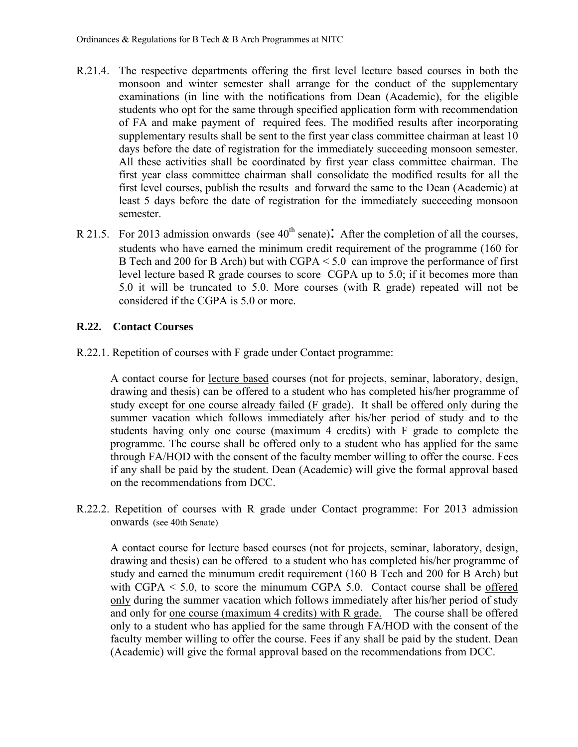- R.21.4. The respective departments offering the first level lecture based courses in both the monsoon and winter semester shall arrange for the conduct of the supplementary examinations (in line with the notifications from Dean (Academic), for the eligible students who opt for the same through specified application form with recommendation of FA and make payment of required fees. The modified results after incorporating supplementary results shall be sent to the first year class committee chairman at least 10 days before the date of registration for the immediately succeeding monsoon semester. All these activities shall be coordinated by first year class committee chairman. The first year class committee chairman shall consolidate the modified results for all the first level courses, publish the results and forward the same to the Dean (Academic) at least 5 days before the date of registration for the immediately succeeding monsoon semester.
- R 21.5. For 2013 admission onwards (see  $40<sup>th</sup>$  senate): After the completion of all the courses, students who have earned the minimum credit requirement of the programme (160 for B Tech and 200 for B Arch) but with CGPA < 5.0 can improve the performance of first level lecture based R grade courses to score CGPA up to 5.0; if it becomes more than 5.0 it will be truncated to 5.0. More courses (with R grade) repeated will not be considered if the CGPA is 5.0 or more.

## **R.22. Contact Courses**

R.22.1. Repetition of courses with F grade under Contact programme:

 A contact course for lecture based courses (not for projects, seminar, laboratory, design, drawing and thesis) can be offered to a student who has completed his/her programme of study except for one course already failed (F grade). It shall be offered only during the summer vacation which follows immediately after his/her period of study and to the students having only one course (maximum 4 credits) with F grade to complete the programme. The course shall be offered only to a student who has applied for the same through FA/HOD with the consent of the faculty member willing to offer the course. Fees if any shall be paid by the student. Dean (Academic) will give the formal approval based on the recommendations from DCC.

R.22.2. Repetition of courses with R grade under Contact programme: For 2013 admission onwards (see 40th Senate):

 A contact course for lecture based courses (not for projects, seminar, laboratory, design, drawing and thesis) can be offered to a student who has completed his/her programme of study and earned the minumum credit requirement (160 B Tech and 200 for B Arch) but with CGPA  $\le$  5.0, to score the minumum CGPA 5.0. Contact course shall be offered only during the summer vacation which follows immediately after his/her period of study and only for one course (maximum 4 credits) with R grade. The course shall be offered only to a student who has applied for the same through FA/HOD with the consent of the faculty member willing to offer the course. Fees if any shall be paid by the student. Dean (Academic) will give the formal approval based on the recommendations from DCC.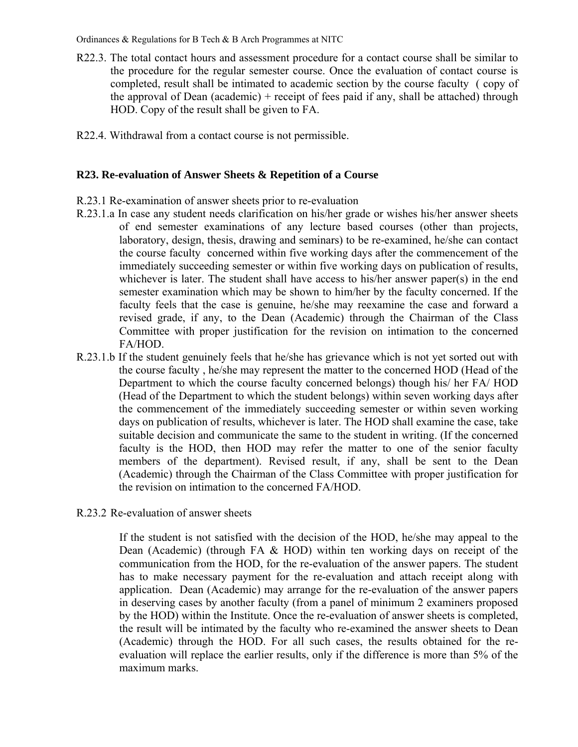- R22.3. The total contact hours and assessment procedure for a contact course shall be similar to the procedure for the regular semester course. Once the evaluation of contact course is completed, result shall be intimated to academic section by the course faculty ( copy of the approval of Dean (academic) + receipt of fees paid if any, shall be attached) through HOD. Copy of the result shall be given to FA.
- R22.4. Withdrawal from a contact course is not permissible.

#### **R23. Re-evaluation of Answer Sheets & Repetition of a Course**

- R.23.1 Re-examination of answer sheets prior to re-evaluation
- R.23.1.a In case any student needs clarification on his/her grade or wishes his/her answer sheets of end semester examinations of any lecture based courses (other than projects, laboratory, design, thesis, drawing and seminars) to be re-examined, he/she can contact the course faculty concerned within five working days after the commencement of the immediately succeeding semester or within five working days on publication of results, whichever is later. The student shall have access to his/her answer paper(s) in the end semester examination which may be shown to him/her by the faculty concerned. If the faculty feels that the case is genuine, he/she may reexamine the case and forward a revised grade, if any, to the Dean (Academic) through the Chairman of the Class Committee with proper justification for the revision on intimation to the concerned FA/HOD.
- R.23.1.b If the student genuinely feels that he/she has grievance which is not yet sorted out with the course faculty , he/she may represent the matter to the concerned HOD (Head of the Department to which the course faculty concerned belongs) though his/ her FA/ HOD (Head of the Department to which the student belongs) within seven working days after the commencement of the immediately succeeding semester or within seven working days on publication of results, whichever is later. The HOD shall examine the case, take suitable decision and communicate the same to the student in writing. (If the concerned faculty is the HOD, then HOD may refer the matter to one of the senior faculty members of the department). Revised result, if any, shall be sent to the Dean (Academic) through the Chairman of the Class Committee with proper justification for the revision on intimation to the concerned FA/HOD.
- R.23.2 Re-evaluation of answer sheets

 If the student is not satisfied with the decision of the HOD, he/she may appeal to the Dean (Academic) (through FA & HOD) within ten working days on receipt of the communication from the HOD, for the re-evaluation of the answer papers. The student has to make necessary payment for the re-evaluation and attach receipt along with application. Dean (Academic) may arrange for the re-evaluation of the answer papers in deserving cases by another faculty (from a panel of minimum 2 examiners proposed by the HOD) within the Institute. Once the re-evaluation of answer sheets is completed, the result will be intimated by the faculty who re-examined the answer sheets to Dean (Academic) through the HOD. For all such cases, the results obtained for the reevaluation will replace the earlier results, only if the difference is more than 5% of the maximum marks.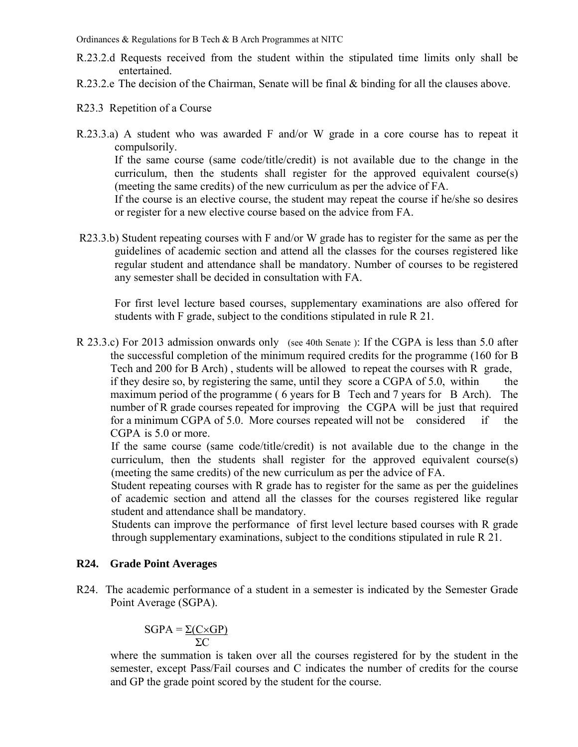- R.23.2.d Requests received from the student within the stipulated time limits only shall be entertained.
- R.23.2.e The decision of the Chairman, Senate will be final & binding for all the clauses above.
- R23.3 Repetition of a Course
- R.23.3.a) A student who was awarded F and/or W grade in a core course has to repeat it compulsorily.

 If the same course (same code/title/credit) is not available due to the change in the curriculum, then the students shall register for the approved equivalent course(s) (meeting the same credits) of the new curriculum as per the advice of FA.

 If the course is an elective course, the student may repeat the course if he/she so desires or register for a new elective course based on the advice from FA.

R23.3.b) Student repeating courses with F and/or W grade has to register for the same as per the guidelines of academic section and attend all the classes for the courses registered like regular student and attendance shall be mandatory. Number of courses to be registered any semester shall be decided in consultation with FA.

For first level lecture based courses, supplementary examinations are also offered for students with F grade, subject to the conditions stipulated in rule R 21.

R 23.3.c) For 2013 admission onwards only (see 40th Senate ): If the CGPA is less than 5.0 after the successful completion of the minimum required credits for the programme (160 for B Tech and 200 for B Arch) , students will be allowed to repeat the courses with R grade, if they desire so, by registering the same, until they score a CGPA of 5.0, within the maximum period of the programme ( 6 years for B Tech and 7 years for B Arch). The number of R grade courses repeated for improving the CGPA will be just that required for a minimum CGPA of 5.0. More courses repeated will not be considered if the CGPA is 5.0 or more.

 If the same course (same code/title/credit) is not available due to the change in the curriculum, then the students shall register for the approved equivalent course(s) (meeting the same credits) of the new curriculum as per the advice of FA.

 Student repeating courses with R grade has to register for the same as per the guidelines of academic section and attend all the classes for the courses registered like regular student and attendance shall be mandatory.

Students can improve the performance of first level lecture based courses with R grade through supplementary examinations, subject to the conditions stipulated in rule R 21.

#### **R24. Grade Point Averages**

R24. The academic performance of a student in a semester is indicated by the Semester Grade Point Average (SGPA).

$$
SGPA = \frac{\Sigma(C \times GP)}{\Sigma C}
$$

where the summation is taken over all the courses registered for by the student in the semester, except Pass/Fail courses and C indicates the number of credits for the course and GP the grade point scored by the student for the course.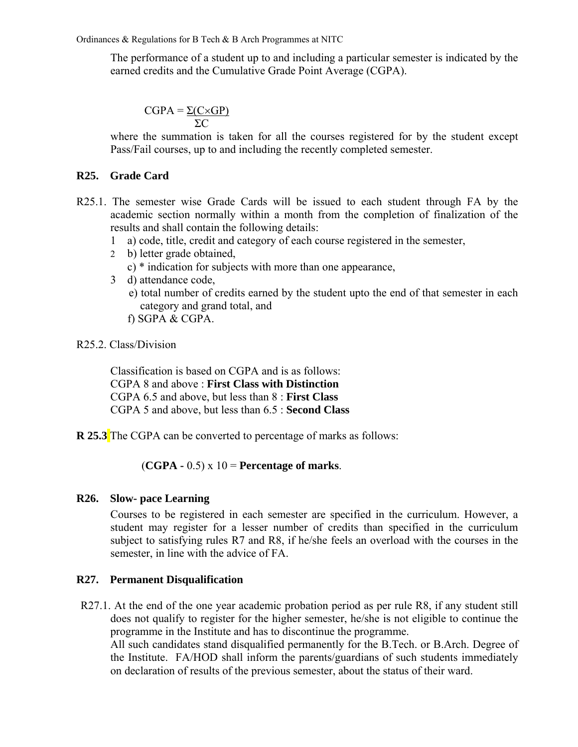The performance of a student up to and including a particular semester is indicated by the earned credits and the Cumulative Grade Point Average (CGPA).

 $CGPA = \Sigma(C \times GP)$  $\Sigma$ C

> where the summation is taken for all the courses registered for by the student except Pass/Fail courses, up to and including the recently completed semester.

#### **R25. Grade Card**

- R25.1. The semester wise Grade Cards will be issued to each student through FA by the academic section normally within a month from the completion of finalization of the results and shall contain the following details:
	- 1 a) code, title, credit and category of each course registered in the semester,
	- 2 b) letter grade obtained,
		- c) \* indication for subjects with more than one appearance,
	- 3 d) attendance code,
		- e) total number of credits earned by the student upto the end of that semester in each category and grand total, and
		- f) SGPA & CGPA.

#### R25.2. Class/Division

Classification is based on CGPA and is as follows: CGPA 8 and above : **First Class with Distinction**  CGPA 6.5 and above, but less than 8 : **First Class**  CGPA 5 and above, but less than 6.5 : **Second Class**

**R 25.3** The CGPA can be converted to percentage of marks as follows:

## (**CGPA -** 0.5) x 10 = **Percentage of marks**.

#### **R26. Slow- pace Learning**

 Courses to be registered in each semester are specified in the curriculum. However, a student may register for a lesser number of credits than specified in the curriculum subject to satisfying rules R7 and R8, if he/she feels an overload with the courses in the semester, in line with the advice of FA.

#### **R27. Permanent Disqualification**

R27.1. At the end of the one year academic probation period as per rule R8, if any student still does not qualify to register for the higher semester, he/she is not eligible to continue the programme in the Institute and has to discontinue the programme.

All such candidates stand disqualified permanently for the B.Tech. or B.Arch. Degree of the Institute. FA/HOD shall inform the parents/guardians of such students immediately on declaration of results of the previous semester, about the status of their ward.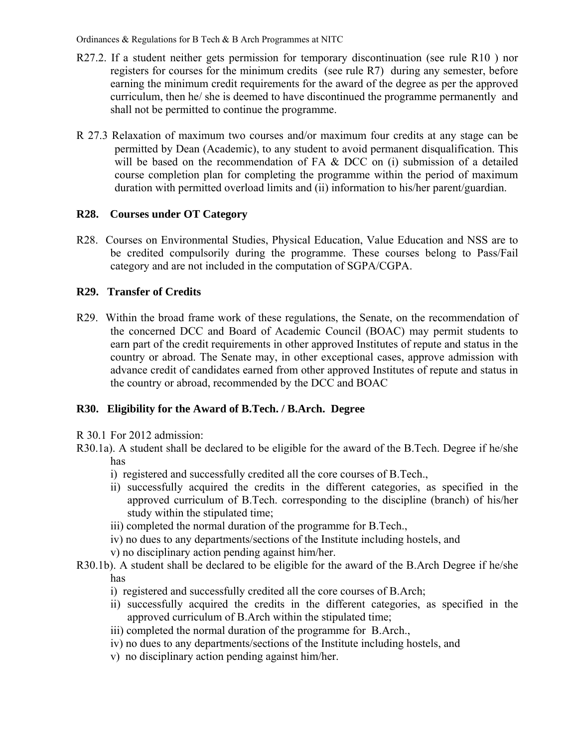- R27.2. If a student neither gets permission for temporary discontinuation (see rule R10) nor registers for courses for the minimum credits (see rule R7) during any semester, before earning the minimum credit requirements for the award of the degree as per the approved curriculum, then he/ she is deemed to have discontinued the programme permanently and shall not be permitted to continue the programme.
- R 27.3 Relaxation of maximum two courses and/or maximum four credits at any stage can be permitted by Dean (Academic), to any student to avoid permanent disqualification. This will be based on the recommendation of FA & DCC on (i) submission of a detailed course completion plan for completing the programme within the period of maximum duration with permitted overload limits and (ii) information to his/her parent/guardian.

## **R28. Courses under OT Category**

R28. Courses on Environmental Studies, Physical Education, Value Education and NSS are to be credited compulsorily during the programme. These courses belong to Pass/Fail category and are not included in the computation of SGPA/CGPA.

## **R29. Transfer of Credits**

R29. Within the broad frame work of these regulations, the Senate, on the recommendation of the concerned DCC and Board of Academic Council (BOAC) may permit students to earn part of the credit requirements in other approved Institutes of repute and status in the country or abroad. The Senate may, in other exceptional cases, approve admission with advance credit of candidates earned from other approved Institutes of repute and status in the country or abroad, recommended by the DCC and BOAC

## **R30. Eligibility for the Award of B.Tech. / B.Arch. Degree**

R 30.1 For 2012 admission:

- i) registered and successfully credited all the core courses of B.Tech.,
- ii) successfully acquired the credits in the different categories, as specified in the approved curriculum of B.Tech. corresponding to the discipline (branch) of his/her study within the stipulated time;
- iii) completed the normal duration of the programme for B.Tech.,
- iv) no dues to any departments/sections of the Institute including hostels, and
- v) no disciplinary action pending against him/her.
- R30.1b). A student shall be declared to be eligible for the award of the B.Arch Degree if he/she has
	- i) registered and successfully credited all the core courses of B.Arch;
	- ii) successfully acquired the credits in the different categories, as specified in the approved curriculum of B.Arch within the stipulated time;
	- iii) completed the normal duration of the programme for B.Arch.,
	- iv) no dues to any departments/sections of the Institute including hostels, and
	- v) no disciplinary action pending against him/her.

R30.1a). A student shall be declared to be eligible for the award of the B.Tech. Degree if he/she has